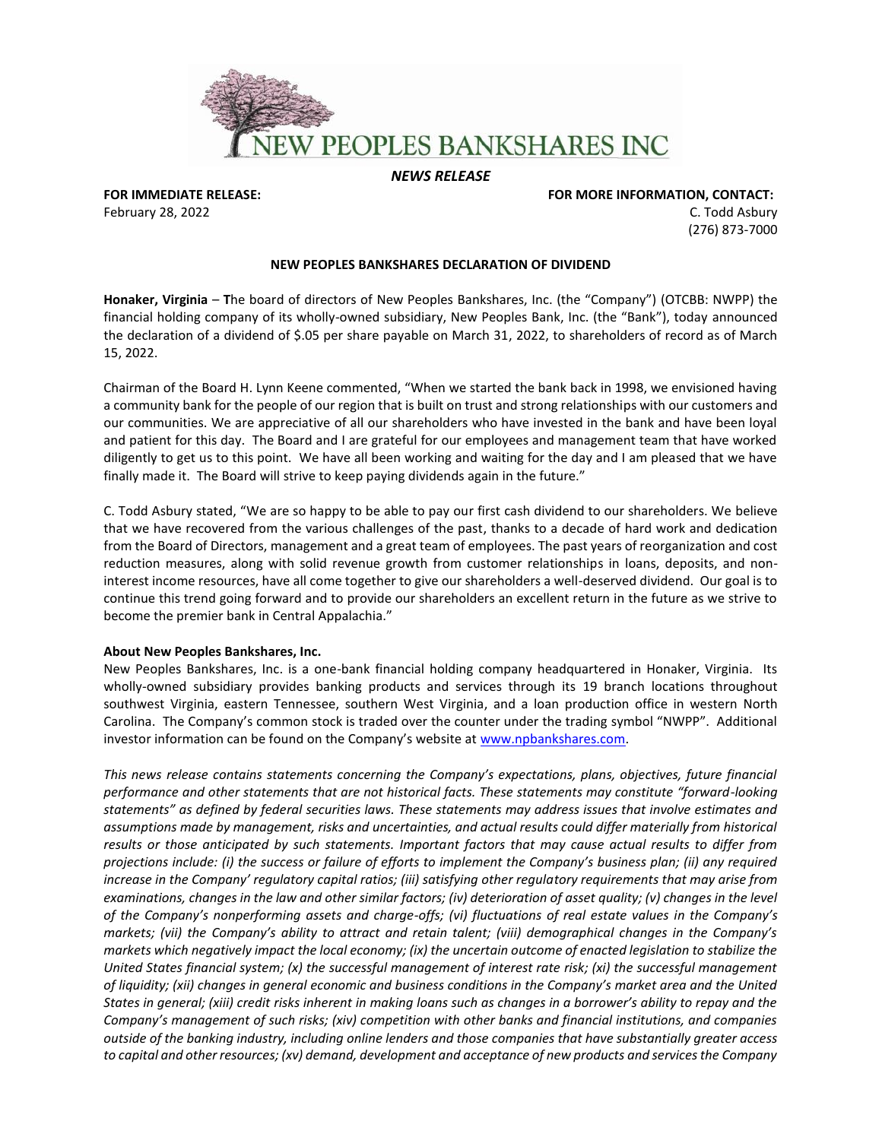

## *NEWS RELEASE*

**FOR IMMEDIATE RELEASE: FOR MORE INFORMATION, CONTACT:**  February 28, 2022 **C.** Todd Asbury C. Todd Asbury C. Todd Asbury C. Todd Asbury C. Todd Asbury C. Todd Asbury C. Todd Asbury C. Todd Asbury C. Todd Asbury C. Todd Asbury C. Todd Asbury C. Todd Asbury C. Todd Asbury C. Todd (276) 873-7000

## **NEW PEOPLES BANKSHARES DECLARATION OF DIVIDEND**

**Honaker, Virginia** – **T**he board of directors of New Peoples Bankshares, Inc. (the "Company") (OTCBB: NWPP) the financial holding company of its wholly-owned subsidiary, New Peoples Bank, Inc. (the "Bank"), today announced the declaration of a dividend of \$.05 per share payable on March 31, 2022, to shareholders of record as of March 15, 2022.

Chairman of the Board H. Lynn Keene commented, "When we started the bank back in 1998, we envisioned having a community bank for the people of our region that is built on trust and strong relationships with our customers and our communities. We are appreciative of all our shareholders who have invested in the bank and have been loyal and patient for this day. The Board and I are grateful for our employees and management team that have worked diligently to get us to this point. We have all been working and waiting for the day and I am pleased that we have finally made it. The Board will strive to keep paying dividends again in the future."

C. Todd Asbury stated, "We are so happy to be able to pay our first cash dividend to our shareholders. We believe that we have recovered from the various challenges of the past, thanks to a decade of hard work and dedication from the Board of Directors, management and a great team of employees. The past years of reorganization and cost reduction measures, along with solid revenue growth from customer relationships in loans, deposits, and noninterest income resources, have all come together to give our shareholders a well-deserved dividend. Our goal is to continue this trend going forward and to provide our shareholders an excellent return in the future as we strive to become the premier bank in Central Appalachia."

## **About New Peoples Bankshares, Inc.**

New Peoples Bankshares, Inc. is a one-bank financial holding company headquartered in Honaker, Virginia. Its wholly-owned subsidiary provides banking products and services through its 19 branch locations throughout southwest Virginia, eastern Tennessee, southern West Virginia, and a loan production office in western North Carolina. The Company's common stock is traded over the counter under the trading symbol "NWPP". Additional investor information can be found on the Company's website at [www.npbankshares.com.](http://www.npbankshares.com/)

*This news release contains statements concerning the Company's expectations, plans, objectives, future financial performance and other statements that are not historical facts. These statements may constitute "forward-looking statements" as defined by federal securities laws. These statements may address issues that involve estimates and assumptions made by management, risks and uncertainties, and actual results could differ materially from historical results or those anticipated by such statements. Important factors that may cause actual results to differ from projections include: (i) the success or failure of efforts to implement the Company's business plan; (ii) any required increase in the Company' regulatory capital ratios; (iii) satisfying other regulatory requirements that may arise from examinations, changes in the law and other similar factors; (iv) deterioration of asset quality; (v) changes in the level of the Company's nonperforming assets and charge-offs; (vi) fluctuations of real estate values in the Company's markets; (vii) the Company's ability to attract and retain talent; (viii) demographical changes in the Company's markets which negatively impact the local economy; (ix) the uncertain outcome of enacted legislation to stabilize the United States financial system; (x) the successful management of interest rate risk; (xi) the successful management of liquidity; (xii) changes in general economic and business conditions in the Company's market area and the United States in general; (xiii) credit risks inherent in making loans such as changes in a borrower's ability to repay and the Company's management of such risks; (xiv) competition with other banks and financial institutions, and companies outside of the banking industry, including online lenders and those companies that have substantially greater access to capital and other resources; (xv) demand, development and acceptance of new products and services the Company*